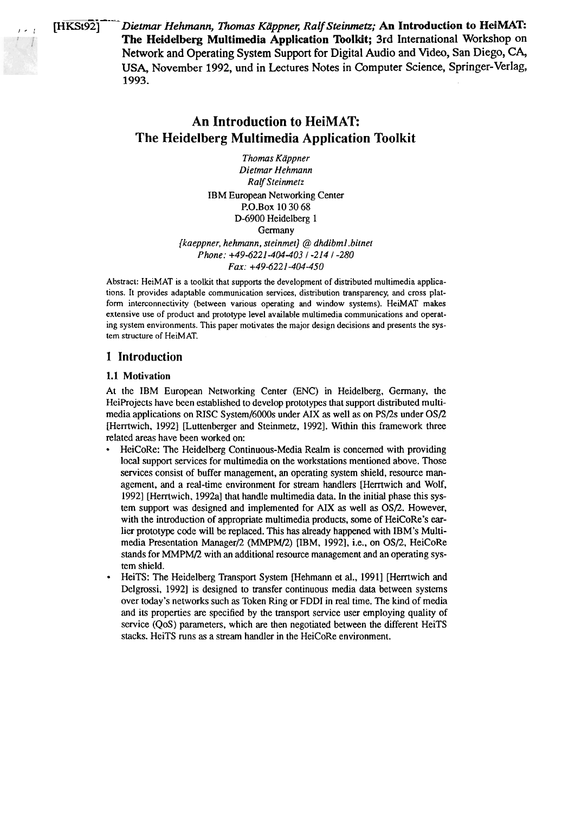- - - - -

[HKSt92] *Dietmar Hehmann, Thomas Käppner, Ralf Steinmetz; An Introduction to HeiMAT:* **The Heidelberg Multimedia Application Toolkit; 3rd International Workshop on Network and Operating System Support for Digital Audio and Video, San Diego, CA, USA, November 1992, und in Lectures Notes in Computer Science, Springer-Verlag, 1993.** 

# **An Introduction to HeiMAT: The Heidelberg Multimedia Application Toolkit**

**Thomas Käppner Dielmar Hehmann**  Raif **Steinmetz**  IBM European Networking Center P.O.Box 10 30 68 D-6900 Heidelberg 1 Germany **{kaeppner, hehmunn, sreinmet)** @ **dhdibml .bifnef Phone: +49-6221-404-403** / **-214** / **-280**  *Fax:* **+49422 1-404-450** 

**Abstract: HeiMAT is a toolkit that supports ihe development of disiributed multimedia applications. It provides adaptable communication services, distribution eansparency. and Cross platform interconnectivity (between various operating and window systems). HeiMAT makes extensive use of product and prototype level available multirnedia communications and operating system environments. This paper motivates the major design decisions and presents the syskm structure of HeiMAT.** 

# **1 Introduction**

# **1.1 Motivation**

At the IBM European Networking Center (ENC) in Heidelberg, Germany, the HeiProjects have been established to develop Prototypes that support distributed multimedia applications on RISC System/6000s under AIX as well as on PS/2s under OS/2 [Hentwich, 19921 Luttenberger and Steinmetz, 19921. Within this framework three related areas have been worked On:

- HeiCoRe: The Heidelberg Continuous-Media Realm is concemed with providing local support services for multimedia on the workstations mentioned above. Those services consist of buffer management, an operating system shield, resource management, and a real-time environment for stream handlers [Herrtwich and Wolf, 1992] [Herrtwich, 1992a] that handle multimedia data. In the initial phase this system support was designed and implemented for AIX as well as OS/2. However, with the introduction of appropriate multimedia products, some of HeiCoRe's earlier prototype code will be replaced. This has already happened with IBM's Multimedia Presentation Manager/2 (MMPM/2) [IBM, 1992], i.e., on OS/2, HeiCoRe stands for MMPM/2 with an additional resource management and an operating system shield.
- HeiTS: The Heidelberg Transport System [Hehmann et al., 1991] [Herrtwich and Delgrossi, 1992] is designed to transfer continuous media data between systems over today's networks such as Token Ring or FDDI in real time. The kind of media and its properties are specified by the transport service user employing quality of service (QoS) parameters, which are then negotiated between the different HeiTS stacks. HeiTS mns as a strearn handler in the HeiCoRe environment.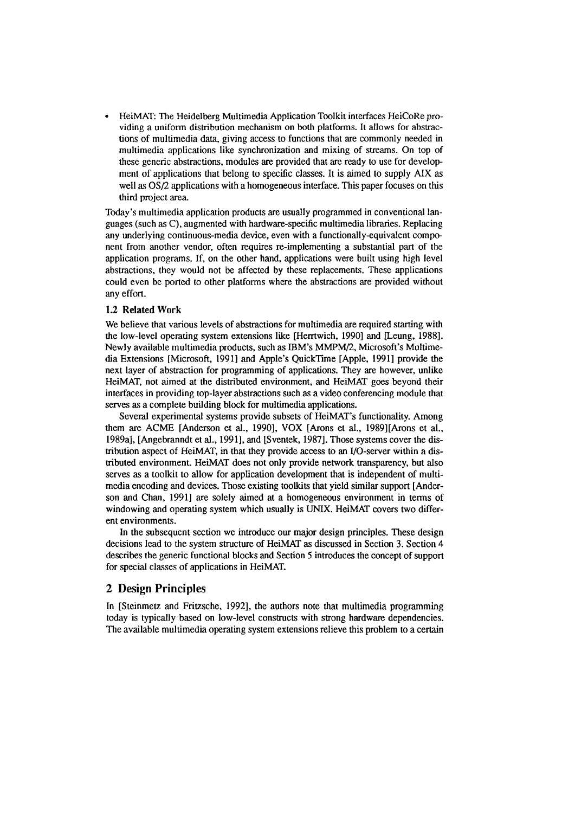HeiMAT: The Heidelberg Multimedia Application Toolkit interfaces HeiCoRe providing a uniform distribution mechanism on both platforms. It allows for abstractions of multimedia data, giving access to functions that are commonly needed in multimedia appiications like synchronization and mixing of streams. On top of these generic abstractions, modules are provided that are ready to use for development of applications that belong to specific classes. It is aimed to supply **AIX** as well as OS/2 applications with a homogeneous interface. This paper focuses on this third project area.

Today's multimedia application products are usuaily programmed in conventionai languages (such as C), augmented with hardware-specific multimedia libraries. Replacing any underlying continuous-media device, even with a functionally-equivalent component from another vendor, often requires re-implementing a substantial part of the application programs. If, on the other hand, appiications were built using high level abstractions, they would not be affected by these replacements. These applications could even be ported to other platforms where the abstractions are provided without any effon.

#### **1.2 Related Work**

We believe that various levels of abstractions for multimedia are required starting with the low-level operating system extensions like [Hemwich, 19901 and Leung, 19881. Newly available multimedia products, such as IBM's MMPM/2, Microsoft's Multimedia Extensions [Microsoft, 19911 and Apple's QuickTime [Apple, 19911 provide the next layer of abstraction for programming of applications. They are however, unlike HeiMAT, not aimed at the distributed environment, and HeiMAT goes beyond their interfaces in providing top-layer abstractions such as a video conferencing module that serves as a complete building block for multimedia applications.

Several experimental systems provide subsets of HeiMAT's functionaiity. Among them are ACME [Anderson et **al.,** 19901, VOX [Arons et al., 1989][Arons et al., 1989a1, [Angebranndt et al., 19911, and [Sventek, 19871. Those systems Cover the distribution aspect of HeiMAT, in that they provide access to an I/O-server within a distributed environment. HeiMAT does not only provide network transparency, but also serves as a tooikit to allow for application development that is independent of multimedia encoding and devices. Those existing toolkits that yield similar support [Anderson and Chan, 19911 are solely aimed at a homogeneous environment in terms of windowing and operating system which usually is UNIX. HeiMAT covers two different environments.

In the subsequent section we introduce our major design principles. These design decisions lead to the system stmcture of HeiMAT as discussed in Section **3.** Section 4 describes the generic functionai blocks and Section 5 introduces the concept of support for special classes of applications in HeiMAT.

## **2 Design Principles**

In [Steinmetz and Fritzsche, 19921, the authors note that multimedia programming today is typically based on low-level constructs with strong hardware dependencies. The available multimedia operating system extensions relieve this problem to a certain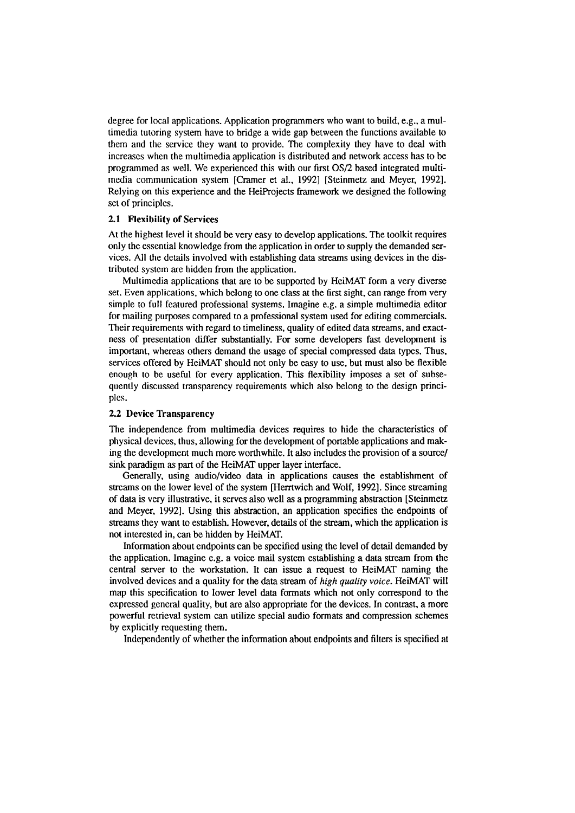degree for local applications. Application programmers who want to build, e.g., a multimedia tutoring system have to bridge a wide gap between the functions available to them and the service they want to provide. The complexity they have to deal with increascs whcn the multimedia appiication is distributed and network access has to be programmed as well. We experienced this with our first OS/2 based integrated multimedia communication system [Cramer et al., 1992] [Steinmetz and Meyer, 1992]. Relying on this experience and the HeiProjects fiamework we designed the foliowing set of principles.

## **2.1 Flexibility of Services**

At the highest level it should be very easy to develop applications. The toolkit requires only the essential knowledge From the application in order to supply the demanded services. All the details involved with establishing data streams using devices in the distributed systcm are hidden from the application.

Multiinedia applications that are to be supported by HeiMAT form a very diverse set. Even applications, which belong to one class at the first sight, can range from very simple to full featured professional Systems. Imagine e.g. a simple multimedia editor for rnaiiing pwposes compared to a professional system used for editing commerciais. Their requirements with regard to timeliness, quality of edited data streams, and exactness of presentation differ substantially. For some developers fast development is important, whereas others demand the usage of special compressed data types. Thus, services offered by HeiMAT should not only be easy **to** use, but must also be flexible enough to be useful for every application. This flexibility imposes a set of subsequently discussed transparency requirements which also belong to the design principles.

### **2.2 Device Transparency**

The independence from multimedia devices requires to hide the characteristics of physical devices, thus, allowing for the development of portable applications and making the development much more wonhwhile. It also includes the provision of a sourcel sink paradigm **as** part of the HeiMAT upper layer interface.

Generally, using audio/video data in applications causes the establishment of streams on the lower level of the system [Herrtwich and Wolf, 1992]. Since streaming of data is very illustrative, it serves also well as a programming abstraction [Steinmetz and Meyer, 19921. Using this abstraction, an appiication specifies the endpoints of streams they want to establish. However, details of the stream, which the application is not interested in, **can** be hidden by HeiMAT.

Information about endpoints can be specified using the level of detail demanded by the application. Imagine e.g. a voice maii system establishing a data stream from the central Server to the workstation. It can issue a request to HeiMAT naming the involved devices and a quality for the data stream of high quality **voice.** HeiMAT will map this specification to lower level data formats which not only correspond to the expressed general quality, but are also appropriate for the devices. In contrast, a more powerful retrieval system can utilize speciai audio formats and compression schemes by explicitly requesting them.

Independently of whether the infonnation about endpoints and filters is specilied at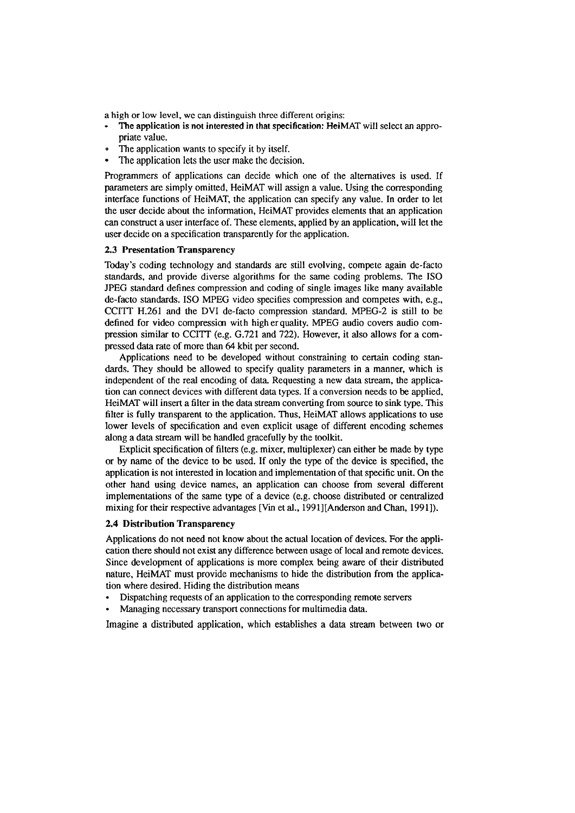- a high or low level, we can distinguish three different origins:<br>The application is not interested in that specification: HeiMAT will select an appropriate vaiue.
- The application wants to specify it by itself.
- The application lets the user make the decision.

Programmers of applications can decide which one of the alternatives is used. If Parameters are simply omitted, HeiMAT wiil assign a value. Using the corresponding interface functions of HeiMAT, the application can specify any value. In order to let the User decide about the information, HeiMAT provides elements that an application can construct a user interface of. These elements, applied by an application, will let the user decide on a specification transparently for the application.

## **2.3 Presentation Transparency**

Today's coding technology and standards are still evolving, compete again de-facto standards, and provide diverse aigorithms for the sarne coding problems. The ISO JPEG standard defines compression and coding of single images like many available de-facto standards. ISO MPEG video specifies compression and competes with, e.g., CCIl'T H.261 and the DVI de-facto compression standard. MPEG-2 is still to be defined for video compressicn with high er quality. MPEG audio Covers audio compression similar to CCITT (e.g. G.721 and 722). However, it also ailows for a compressed data rate of more than 64 kbit per second.

Applications need to be developed without constraining to certain coding standards. They should be allowed to specify quality parameters in a manner, which is independent of the real encoding of data. Requesting a new data stream, the application can connect devices with different data types. If a conversion needs to be applied, HeiMAT will insert a filter in the data stream converting from source to sink type. This filter is fully transparent to the application. Thus, HeiMAT ailows applications to use lower levels of specification and even explicit usage of different encoding schemes aiong a data stream will be handled gracefully by the toolkit.

Explicit specification of filters (e.g. mixer, multiplexer) can either be made by type or by name of the device to be used. If only the type of the device is specified, the appiication is not interested in location and implementation of that specific unit. On the other hand using device names, an application can choose from several different implementations of the same type of a device  $(e.g.$  choose distributed or centralized mixing for their respective advantages [Vin et al., 1991][Anderson and Chan, 1991]).

### **2.4 Distribution Transparency**

Applications do not need not know about the actual location of devices. For the application there should not exist any difference between usage of locai and remote devices. Since development of applications is more complex being aware of their distributed nature, HeiMAT must provide mechanisms to hide the distribution from the application where desired. Hiding the distribution means

- Dispatching requests of an application to the corresponding remote servers
- Managing necessary transport connections for multimedia data.

Imagine a distributed application, which establishes a data stream between two or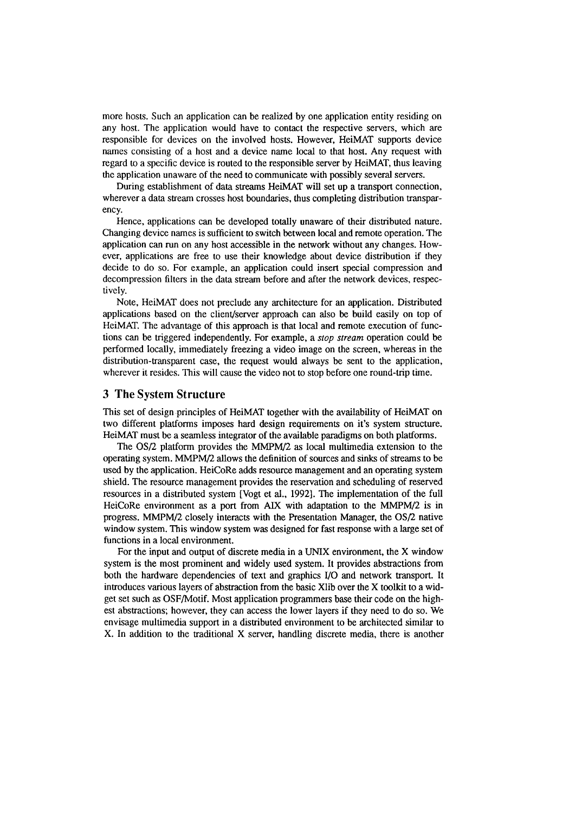more hosts. Such an application can be realized by one application entity residing on any host. The application would have to contact the respective servers, which are responsible for devices on the involved hosts. However, HeiMAT Supports device names consisting of a host and a device name local to that host. Any request with regard to a specific device is routed to the responsible server by HeiMAT, thus leaving the application unaware of the need to communicate with possibly several servers.

During establishment of data streams HeiMAT will Set up a transport connection, wherever a data stream crosses host boundaries, thus completing distribution transparency.

Hence, applications can be developed totally unaware of their dismbuted nature. Changing device names is sufficient to switch between local and remote operation. The appiication can run on any host accessible in the network without any changes. However, applications are free to use their knowledge about device distribution if they decide to do so. For example, an application could insert speciai compression and decompression filters in the data stream before and after the network devices, respectively.

Note, HeiMAT does not preclude any architecture for an application. Distributed applications based on the client/server approach can also be build easily on top of HeiMAT. The advantage of this approach is that local and remote execution of functions can be triggered independently. For example, a stop *stream* operation could be perfonned locaily, immediately freezing a video image on the screen, whereas in the distribution-transparent case, the request would aiways be sent to the application, wherever it resides. This will cause the video not to stop before one round-trip time.

## **3 The System Structure**

This set of design principles of HeiMAT together with the availability of HeiMAT on two different piatforms imposes hard design requirements on it's system structure. HeiMAT must be a seamless integrator of the available paradigms on both platforms.

The OS/2 platform provides the MMPM/2 as local multimedia extension to the operating system. MMPM/2 allows the definition of sources and sinks of streams to be used by the application. HeiCoRe adds resource management and an operating system shield. The resource management provides the reservation and scheduling of resewed resources in a distributed system [Vogt et al., 19921. The implementation of the full HeiCoRe environment as a port from AIX with adaptation to the MMPM/2 is in Progress. MMPM/2 closely interacts with the Presentation Manager, the OS/2 native window system. This window system was designed for fast response with a large set of functions in a locai environment.

For the input and output of discrete media in a UNIX environment, the X window system is the most prominent and widely used system. It provides abstractions from both the hardware dependencies of text and graphics I/O and network transport. It introduces various layers of abstraction from the basic Xlib over the X tooikit to a widget Set such as OSFIMotif. Most application programmers base their code on the highest abstractions; however, they can access the lower layers if they need to do so. We envisage multimedia support in a distributed environment to be architected similar to X. In addition to the traditionai X server, handiing discrete media, there is another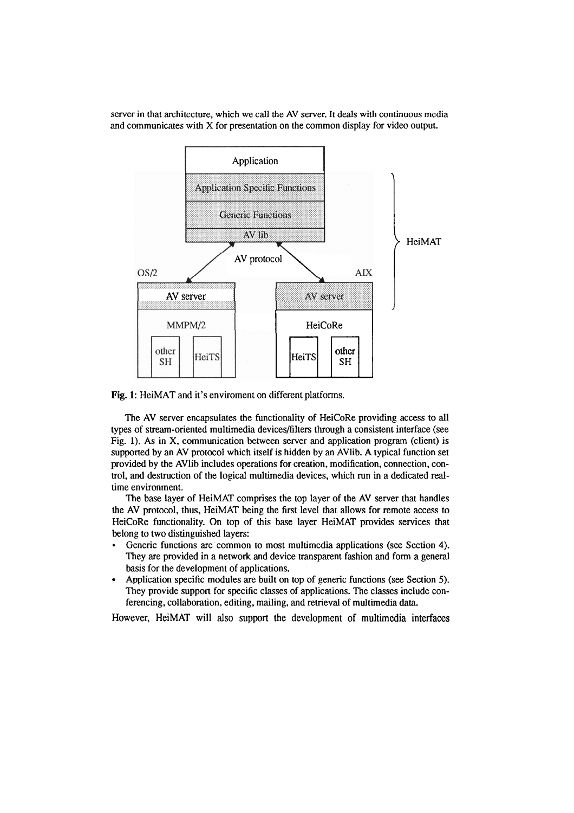server in that architecture, which we call the AV server. It deals with continuous media and communicates with X for presentation on the common display for video output.



Fig. 1: HeiMAT and it's enviroment on different platforms.

The AV server encapsulates the functionaiity of HeiCoRe providing access to all types of stream-oriented multimedia devices/filters through a consistent interface (see Fig. 1). As in X, communication between server and application program (client) is supported by an AV protocol which itself is hidden by an AVlib. A typical function set provided by the AVlib includes operations for creation, modification, connection, control, and destruction of the logical multimedia devices, which run in a dedicated realtime environment.

The base layer of HeiMAT comprises the top layer of the AV server that handles the AV protocol, thus, HeiMAT being the first level that allows for remote access to HeiCoRe functionality. On top of this base layer HeiMAT provides services that belong to two distinguished layers:

- Generic functions are common to most multimedia applications (see Section 4). They are provided in a network and device transparent fashion and form a general basis for the development of applications.
- Application specific modules are built on top of generic functions (see Section 5).  $\bullet$ They provide support for specific classes of applications. The classes include conferencing, collaboration, editing, mailing, and retneval of multimedia **data.**

However, HeiMAT will also support the development of multimedia interfaces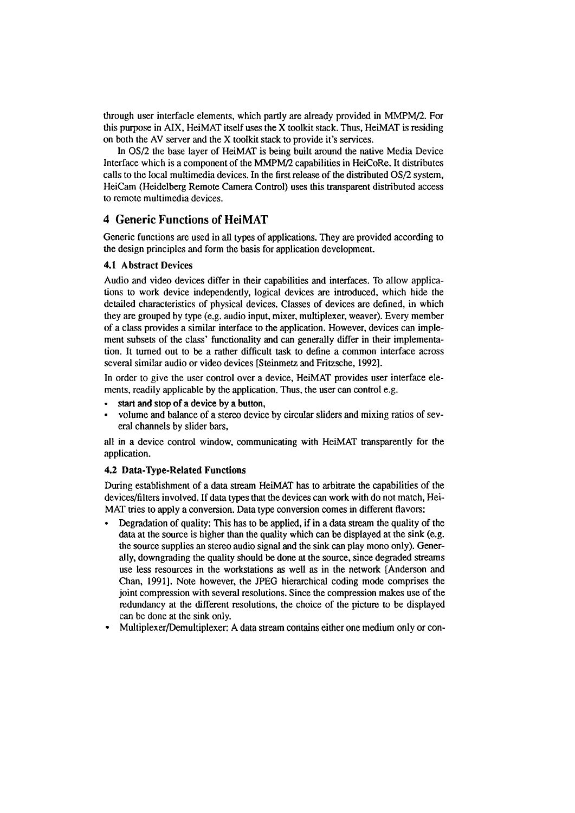through user interfacle elements, which partly are already provided in MMPM/2. For this purpose in *MX,* HeiMAT itself uses the X toolkit stack. Thus, HeiMAT is residing on both the AV Server and the X toolkit stack to provide it's services.

In OS/2 the base layer of HeiMAT is being built around the native Media Device Interface which is a component of the MMPM/2 capabilities in HeiCoRe. It distributes calls to the local multimedia devices. In the first release of the distributed OS/2 system, HeiCam (Heidelberg Remote Camera Control) uses this transparent distributed access to remote multimedia devices.

# **4 Generic Functions of HeiMAT**

Generic functions are used in ail types of applications. They are provided according to the design principles and form the basis for application development.

## 4.1 Abstract Devices

Audio and video devices differ in their capabilities and interfaces. To ailow applications to work device independently, logical devices are introduced, which hide the detailed characteristics of physicai devices. Classes of devices are defined, in which they are grouped by type (e.g. audio input, mixer, multiplexer, weaver). Every member of a ciass provides a similar interface to the application. However, devices can implement subsets of the ciass' functionality and can generaily differ in their implementation. It tumed out to be a rather dificult task to define a common interface across several similar audio or video devices [Steinmetz and Fritzsche, 19921.

In order to give the user control over a device, HeiMAT provides user interface elements, readily applicable by the application. Thus, the user can control e.g.

- Start and stop of a device by a button,
- volume and balance of a stereo device by circular siiders and rnixing ratios of several channels by slider bars,

ail in a device control window, communicating with HeiMAT transparently for the application.

# 4.2 Data-Type-Related Functions

During establishment of a data stream HeiMAT has to arbitrate the capabilities of the devices/filters involved. If data types that the devices can work with do not match, Hei-MAT tries to apply a conversion. Data type conversion comes in different flavors:

- Degradation of quality: This has to **be** appiied, if in a data stream the quality of the data at the source is higher than the quality which **can** be displayed at the sink (e.g. the source supplies an stereo audio signal and the sink **can** play mono only). Generally, downgrading the quality should be done at the source, since degraded streams use less resources in the workstations as weii **as** in the network [Anderson and Chan, 19911. Note however, the JPEG hierarchicai coding mode comprises the joint compression with several resolutions. Since the compression makes use of the redundancy at the different resolutions, the choice of the picture **to** be displayed can be done at the sink only.
- Multiplexer/Demultiplexer: A data stream contains either one medium only or con-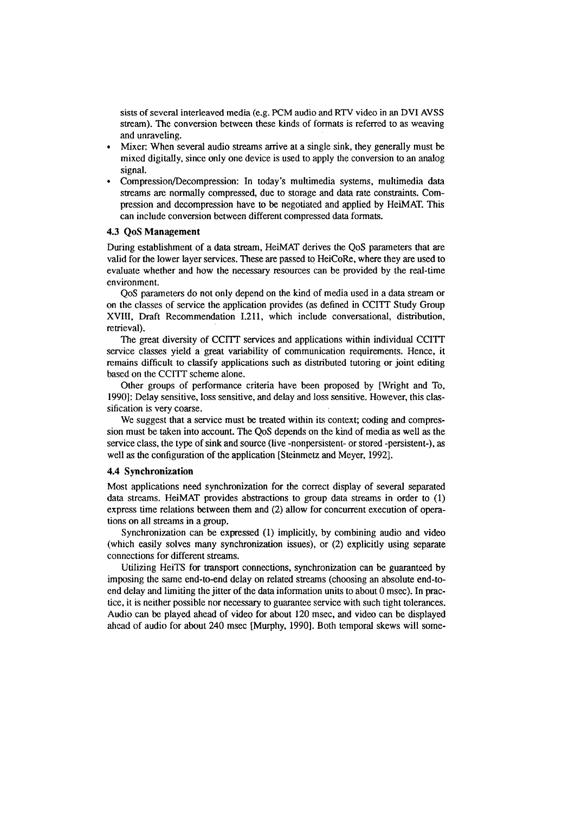sists of several interleaved media (e.g. PCM audio and RTV video in an DVI AVSS stream). The conversion between these kinds of formats is referred to as weaving and unraveiing.

- Mixer: When several audio streams arrive at a single sink, they generaily must be mixed digitally, since only one device is used to apply the conversion to an analog signal.
- Compression/Decompression: In today's multirnedia Systems, multimedia data streams **are** normaily compressed, due to Storage and data rate constraints. Compression and decompression have to **be** negotiated and applied by HeiMAT. This can include conversion between different compressed data formats.

## **4.3 QoS Management**

During establishment of a data stream, HeiMAT derives the QoS parameters that are valid for the lower layer services. These are passed to HeiCoRe, where they are used to evaluate whether and how the necessary resources can be provided by the real-time environment.

QoS parameters do not only depend on the kind of media used in a data stream or on the classes of service the application provides (as defined in CCITT Study Group XVIII, Draft Recommendation I.211, which include conversational, distribution, retrieval).

The great diversity of **CCITT** services and applications within individual CCITT service classes yield a great variability of communication requirements. Hence, it rernains difficult to classify applications such as dismbuted tutoring or joint editing based on the CCITT scheme alone.

Other groups of performance criteria have been proposed by [Wright and To, 19901: Delay sensitive, loss sensitive, and delay and loss sensitive. However, this classification is very coarse.

We suggest that a service must **be** treated within its context; coding and compression must be taken into account. The QoS depends on the kind of media as weil as the service class, the type of sink and source (live -nonpersistent- or stored -persistent-), as well as the configuration of the application [Steinmetz and Meyer, 19921.

#### **4.4 Synchronization**

Most applications need synchronization for the correct display of several separated data streams. HeiMAT provides abstractions to group data streams in order to (1) express time relations between them and (2) allow for concurrent execution of operations on all streams in a group.

Synchronization can be expressed (1) implicitly, by combining audio and video (which easily solves many synchronization issues), or (2) explicitly using separate connections for different streams.

Utilizing HeiTS for transport connections, synchronization can be guaranteed by imposing the Same end-to-end delay on related streams (choosing an absolute end-toend delay and Iimiting the jitter of the data information units to about 0 msec). In practice, it is neither possible nor necessary to guarantee service with such tight tolerantes. Audio **can** be played ahead of video for about 120 msec, and video can be displayed ahead of audio for about 240 msec [Murphy, 1990]. Both temporal skews will some-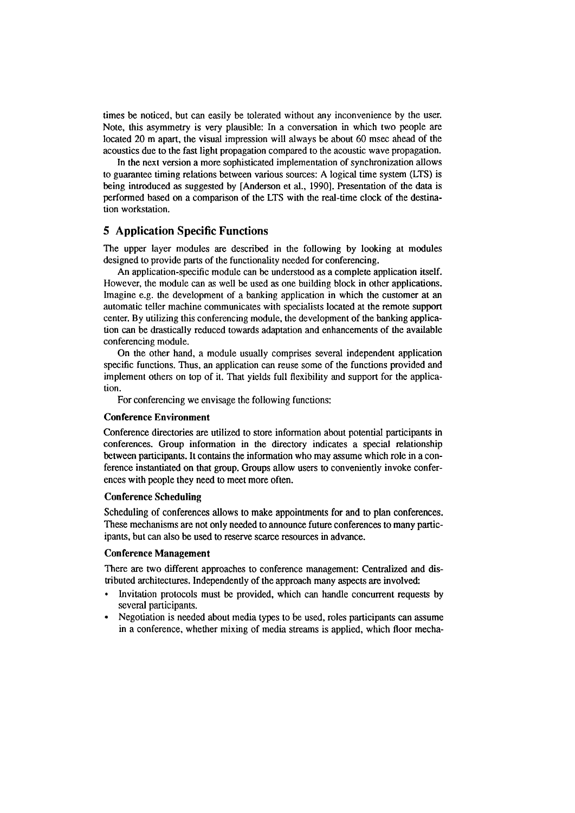times be noticed, but can easily be tolerated without any inconvenience by the user. Note, this asymmetry is very plausible: In a conversation in which two people are located 20 m apart, the visuai impression will aiways be about 60 msec ahead of the acoustics due to the fast light propagation compared to the acoustic wave propagation.

In the next version a more sophisticated implementation of synchronization ailows to guarantee timing relations between various sources: A logical time system (LTS) is being introduced as suggested by [Anderson et **al.,** 19901. Presentation of the **data** is perfonned based on a comparison of the LTS with the real-time clock of the destination workstation.

# **5 Application Specific Functions**

The upper layer modules are described in the following by looking at modules designed to provide parts of the functionality needed for conferencing.

An application-specific module can be understood as a complete application itself. However, the module can as weil be used as one building block in other applications. Imagine e.g. the development of a banking application in which the customer at an automatic teller machine communicates with specialists located at the remote support center. By utilizing this conferencing module, the development of the banking application **can** be drastically reduced towards adaptation and enhancements of the available conferencing module.

On the other hand, a module usuaily comprises several independent application specific functions. Thus, an application can reuse some of the functions provided and implement others on top of it. That yields full flexibility and support for the application.

For conferencing we envisage the following functions:

## Conference Environment

Conference directories are utilized to store information about potential participants in conferences. Group information in the directory indicates a special relationship between participants. It contains the information who may assume which role in a conference instantiated on that group. Groups ailow Users **to** conveniently invoke conferences with people they need **to** meet more often.

# Conference Scheduling

Scheduling of conferences allows to make appointments for and to plan conferences. These mechanisms are not only needed to announce future conferences to many participants, but can also **be** used **to** reserve scarce resources in advance.

#### Conference Management

There are two different approaches to conference management: Centralized and distributed architectures. Independently of the approach many aspects are involved:

- Invitation protocols must be provided, which can handle concurrent requests by several participants.
- Negotiation is needed about media types to be used, roles participants can assume in a conference, whether mixing of media streams is applied, which floor mecha-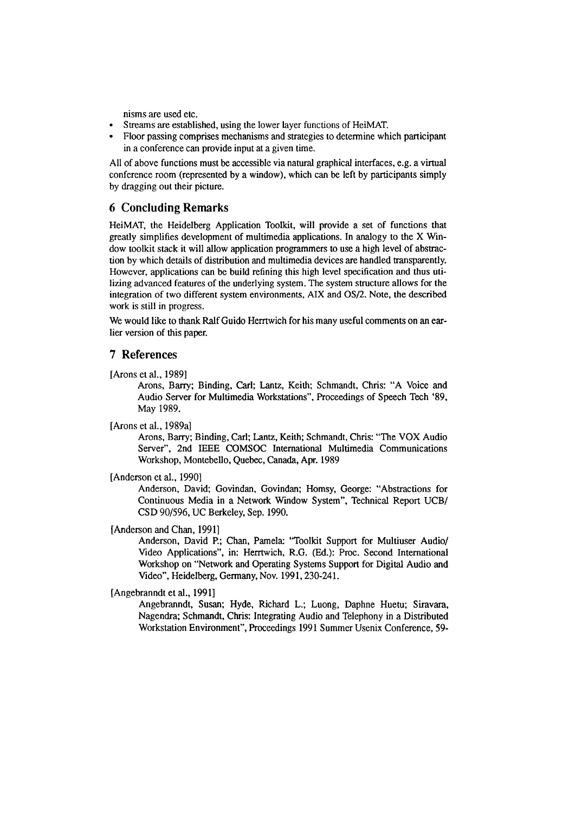nisrns are used etc.

- Strearns are established, using the lower layer functions of HeiMAT.
- Floor passing comprises mechanisms and strategies to determine which participant in a conference can provide input at a given time.

All of above functions must be accessible via natural graphical interfaces, e.g. a virtual confcrence room (represented by a window), which can be left by participants simply by dragging out their picture.

# **6 Concluding Remarks**

HeiMAT, the Heidelberg Application Tooikit, will provide a set of functions that greatly simplifies development of multimedia applications. In analogy to the X Window toolkit stack it will allow application programmers **to** use a high level of abstraction by which details of distribution and multimedia devices are handled transparently. However, applications can be build refining this high level specification and thus utilizing advanced features of the underlying system. The system structure allows for the integration of two different system environments, **AIX** and OSl2. Note, the described work is still in progress.

We would like to **thank** Ralf Guido Hemwich for his many useful comments on an earlier version of this paper.

# **7 References**

[Arons et al., 19891

Arons, Barry; Binding, Carl; **Lantz,** Keith; Schmandt, Chris: "A Voice and Audio Server for Multimedia Workstations", Proceedings of Speech Tech '89, May 1989.

[Arons et **al.,** 1989al

Arons, Barry; Binding, Carl; **Lantz,** Keith; Schmandt, Chris: "The VOX Audio Server", 2nd IEEE COMSOC International Multimedia Communications Workshop, Montebeiio, Quebec, Canada, Apr. 1989

[Anderson et al., 19901

Anderson, David; Govindan, Govindan; Homsy, George: "Abstractions for Continuous Media in a Network Widow System", Technical Report UCB/ CSD 90/596, UC Berkeley, Sep. 1990.

## [Anderson and Chan, 1991]

Anderson, David P.; Chan, Pamela: "Toolkit Support for Multiuser Audio/ Video Applications", in: Hemwich, R.G. (Ed.): Proc. Second International Workshop on "Network and Operating Systems Support for Digital Audio and Video", Heidelberg, Germany, Nov. 1991, 230-241.

[Angebranndt et al., 19911

Angebranndt, Susan; Hyde, Richard L.; Luong, Daphne Huetu; Siravara, Nagendra; Schmandt, Chris: Integrating Audio and Telephony in a Distributed Workstation Environment", Proceedings 1991 Summer Usenix Conference, 59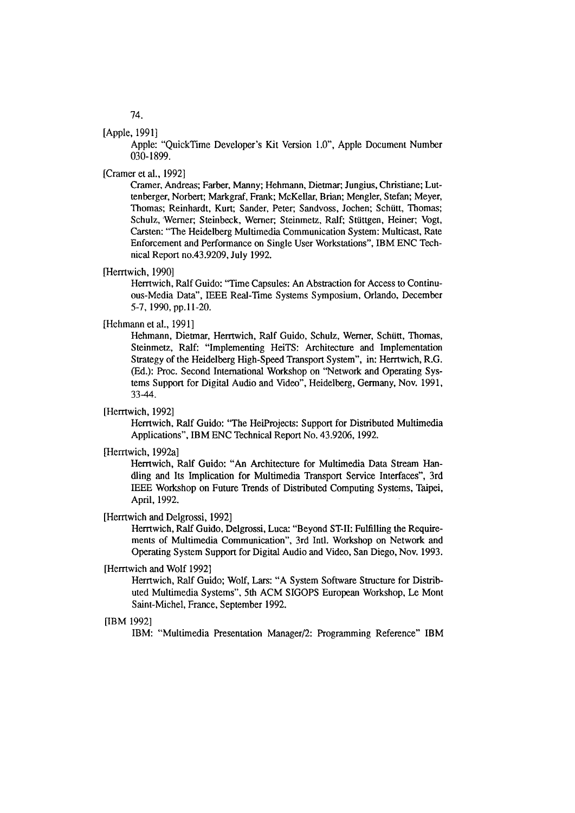[Apple, 1991]

Apple: "QuickTime Developer's Kit Version 1.0", Apple Document Number 030- 1899.

[Cramer et al., 19921

Cramer, Andreas; Farber, Manny; Hehmann, Dietmar; Jungius, Christiane; Luttenberger, Norbert; Markgraf, Frank; McKellar, Brian; Mengler, Stefan; Meyer, Thomas; Reinhardt, Kurt; Sander, Peter; Sandvoss, Jochen; Schütt, Thomas; Schulz, 'Werner; Steinbeck, Wemer, Steinmetz, **Ralf;** Stüttgen, Heiner; Vogt, Carsten: "The Heidelberg Multimedia Communication System: Multicast, Rate Enforcement and Performance on Single User Workstations", IBM ENC Technical Report no.43.9209, July 1992.

[Herrtwich, 1990]

Herrtwich, Ralf Guido: 'Time Capsules: An Abstraction for Access to Continuous-Media Data", IEEE Real-Time Systems Symposium, Orlando, December 5-7, 1990, pp.11-20.

[Hehmann et al., 1991]

Hehmann, Dietmar, Herrtwich, Ralf Guido, Schulz, Wemer, Schütt, Thomas, Steinmetz, Ralf: "Implementing HeiTS: Architecture and Implementation Strategy of the Heidelberg High-Speed Transport System", in: Herrtwich, R.G. (Ed.): Proc. Second International Workshop on "Network and Operating Systems Support for Digital Audio and Video", Heidelberg, Germany, Nov. 1991, 33-44.

[Herrtwich, 1992]

Hemwich, Ralf Guido: 'The HeiProjects: Support for Distributed Multimedia Applications", IBM ENC Technical Report No. 43.9206,1992.

Herrtwich, 1992al

Herrtwich, Ralf Guido: **"An** Architecture for Multimedia Data Stream Handling and 11s Implication for Multimedia Transport Service Interfaces", 3rd IEEE Workshop on Future Trends of Distributed Computing Systems, Taipei, April, 1992.

[Herrtwich and Delgrossi, 19921

Hemwich, Ralf Guido, Delgrossi, Luca: "Beyond ST-11: Fuifilling the Requirements of Multimedia Communication", 3rd Intl. Workshop on Network and Operating System Support for Digital Audio and Video, San Diego, Nov. 1993.

[Herrtwich and Wolf 19921

Herrtwich, Ralf Guido; Wolf, Lars: "A System Software Structure for Distributed Multimedia Systems", 5th ACM SIGOPS European Workshop, **Le** Mont Saint-Michel, France, September 1992.

UBM 19921

IBM: "Multimedia Presentation Manager/2: Programming Reference" IBM

74.